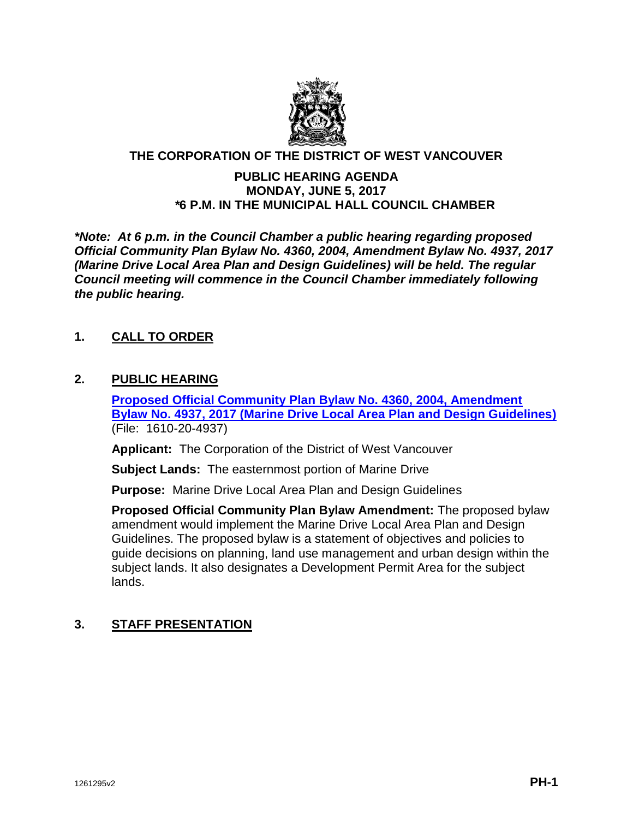

### **THE CORPORATION OF THE DISTRICT OF WEST VANCOUVER**

### **PUBLIC HEARING AGENDA MONDAY, JUNE 5, 2017** *\****6 P.M. IN THE MUNICIPAL HALL COUNCIL CHAMBER**

*\*Note: At 6 p.m. in the Council Chamber a public hearing regarding proposed Official Community Plan Bylaw No. 4360, 2004, Amendment Bylaw No. 4937, 2017 (Marine Drive Local Area Plan and Design Guidelines) will be held. The regular Council meeting will commence in the Council Chamber immediately following the public hearing.*

## **1. CALL TO ORDER**

### **2. PUBLIC HEARING**

**[Proposed Official Community Plan Bylaw No. 4360, 2004, Amendment](https://westvancouver.ca/sites/default/files/dwv/council-agendas/2017/jun/05PH/17jun05-PH-Notice.pdf)  [Bylaw No. 4937, 2017 \(Marine Drive Local Area Plan and Design Guidelines\)](https://westvancouver.ca/sites/default/files/dwv/council-agendas/2017/jun/05PH/17jun05-PH-Notice.pdf)** (File: 1610-20-4937)

**Applicant:** The Corporation of the District of West Vancouver

**Subject Lands:** The easternmost portion of Marine Drive

**Purpose:** Marine Drive Local Area Plan and Design Guidelines

**Proposed Official Community Plan Bylaw Amendment:** The proposed bylaw amendment would implement the Marine Drive Local Area Plan and Design Guidelines. The proposed bylaw is a statement of objectives and policies to guide decisions on planning, land use management and urban design within the subject lands. It also designates a Development Permit Area for the subject lands.

# **3. STAFF PRESENTATION**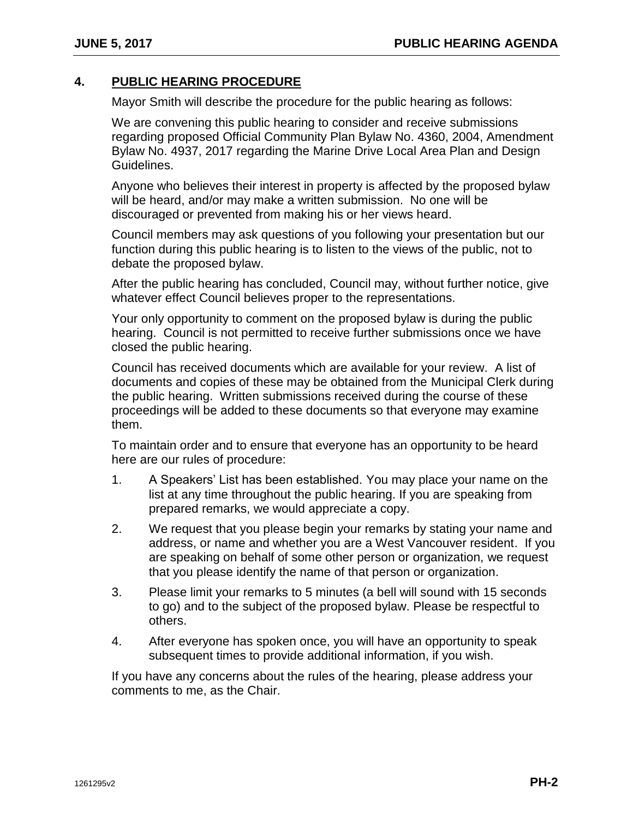## **4. PUBLIC HEARING PROCEDURE**

Mayor Smith will describe the procedure for the public hearing as follows:

We are convening this public hearing to consider and receive submissions regarding proposed Official Community Plan Bylaw No. 4360, 2004, Amendment Bylaw No. 4937, 2017 regarding the Marine Drive Local Area Plan and Design Guidelines.

Anyone who believes their interest in property is affected by the proposed bylaw will be heard, and/or may make a written submission. No one will be discouraged or prevented from making his or her views heard.

Council members may ask questions of you following your presentation but our function during this public hearing is to listen to the views of the public, not to debate the proposed bylaw.

After the public hearing has concluded, Council may, without further notice, give whatever effect Council believes proper to the representations.

Your only opportunity to comment on the proposed bylaw is during the public hearing. Council is not permitted to receive further submissions once we have closed the public hearing.

Council has received documents which are available for your review. A list of documents and copies of these may be obtained from the Municipal Clerk during the public hearing. Written submissions received during the course of these proceedings will be added to these documents so that everyone may examine them.

To maintain order and to ensure that everyone has an opportunity to be heard here are our rules of procedure:

- 1. A Speakers' List has been established. You may place your name on the list at any time throughout the public hearing. If you are speaking from prepared remarks, we would appreciate a copy.
- 2. We request that you please begin your remarks by stating your name and address, or name and whether you are a West Vancouver resident. If you are speaking on behalf of some other person or organization, we request that you please identify the name of that person or organization.
- 3. Please limit your remarks to 5 minutes (a bell will sound with 15 seconds to go) and to the subject of the proposed bylaw. Please be respectful to others.
- 4. After everyone has spoken once, you will have an opportunity to speak subsequent times to provide additional information, if you wish.

If you have any concerns about the rules of the hearing, please address your comments to me, as the Chair.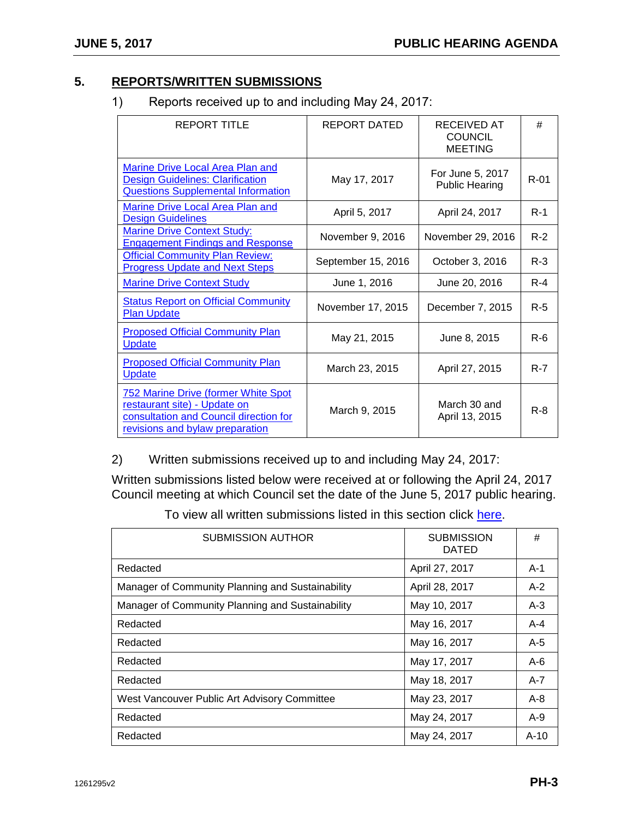# **5. REPORTS/WRITTEN SUBMISSIONS**

1) Reports received up to and including May 24, 2017:

| <b>REPORT TITLE</b>                                                                                                                                     | REPORT DATED       | RECEIVED AT<br><b>COUNCIL</b><br><b>MEETING</b> | #        |
|---------------------------------------------------------------------------------------------------------------------------------------------------------|--------------------|-------------------------------------------------|----------|
| Marine Drive Local Area Plan and<br><b>Design Guidelines: Clarification</b><br><b>Questions Supplemental Information</b>                                | May 17, 2017       | For June 5, 2017<br><b>Public Hearing</b>       | $R - 01$ |
| Marine Drive Local Area Plan and<br><b>Design Guidelines</b>                                                                                            | April 5, 2017      | April 24, 2017                                  | $R-1$    |
| <b>Marine Drive Context Study:</b><br><b>Engagement Findings and Response</b>                                                                           | November 9, 2016   | November 29, 2016                               | $R-2$    |
| <b>Official Community Plan Review:</b><br><b>Progress Update and Next Steps</b>                                                                         | September 15, 2016 | October 3, 2016                                 | $R-3$    |
| <b>Marine Drive Context Study</b>                                                                                                                       | June 1, 2016       | June 20, 2016                                   | $R - 4$  |
| <b>Status Report on Official Community</b><br><b>Plan Update</b>                                                                                        | November 17, 2015  | December 7, 2015                                | $R-5$    |
| <b>Proposed Official Community Plan</b><br>Update                                                                                                       | May 21, 2015       | June 8, 2015                                    | $R-6$    |
| <b>Proposed Official Community Plan</b><br><b>Update</b>                                                                                                | March 23, 2015     | April 27, 2015                                  | $R - 7$  |
| <b>752 Marine Drive (former White Spot</b><br>restaurant site) - Update on<br>consultation and Council direction for<br>revisions and bylaw preparation | March 9, 2015      | March 30 and<br>April 13, 2015                  | $R - 8$  |

2) Written submissions received up to and including May 24, 2017:

Written submissions listed below were received at or following the April 24, 2017 Council meeting at which Council set the date of the June 5, 2017 public hearing.

To view all written submissions listed in this section click [here.](https://westvancouver.ca/sites/default/files/dwv/council-agendas/2017/jun/05PH/17jun05-PH-A1%20to%20A10.pdf)

| <b>SUBMISSION AUTHOR</b>                         | <b>SUBMISSION</b><br><b>DATED</b> | #       |
|--------------------------------------------------|-----------------------------------|---------|
| Redacted                                         | April 27, 2017                    | $A-1$   |
| Manager of Community Planning and Sustainability | April 28, 2017                    | $A-2$   |
| Manager of Community Planning and Sustainability | May 10, 2017                      | $A-3$   |
| Redacted                                         | May 16, 2017                      | A-4     |
| Redacted                                         | May 16, 2017                      | $A-5$   |
| Redacted                                         | May 17, 2017                      | $A-6$   |
| Redacted                                         | May 18, 2017                      | A-7     |
| West Vancouver Public Art Advisory Committee     | May 23, 2017                      | $A - 8$ |
| Redacted                                         | May 24, 2017                      | $A-9$   |
| Redacted                                         | May 24, 2017                      | $A-10$  |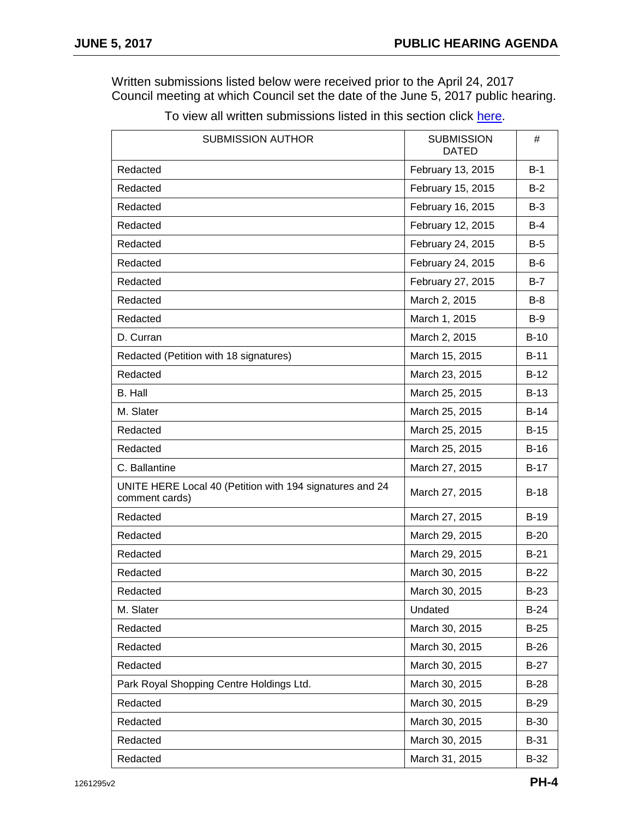Written submissions listed below were received prior to the April 24, 2017 Council meeting at which Council set the date of the June 5, 2017 public hearing.

| <b>SUBMISSION AUTHOR</b>                                                   | <b>SUBMISSION</b><br><b>DATED</b> | #           |
|----------------------------------------------------------------------------|-----------------------------------|-------------|
| Redacted                                                                   | February 13, 2015                 | $B-1$       |
| Redacted                                                                   | February 15, 2015                 | $B-2$       |
| Redacted                                                                   | February 16, 2015                 | $B-3$       |
| Redacted                                                                   | February 12, 2015                 | $B-4$       |
| Redacted                                                                   | February 24, 2015                 | $B-5$       |
| Redacted                                                                   | February 24, 2015                 | $B-6$       |
| Redacted                                                                   | February 27, 2015                 | $B-7$       |
| Redacted                                                                   | March 2, 2015                     | $B-8$       |
| Redacted                                                                   | March 1, 2015                     | $B-9$       |
| D. Curran                                                                  | March 2, 2015                     | $B-10$      |
| Redacted (Petition with 18 signatures)                                     | March 15, 2015                    | $B-11$      |
| Redacted                                                                   | March 23, 2015                    | $B-12$      |
| <b>B.</b> Hall                                                             | March 25, 2015                    | $B-13$      |
| M. Slater                                                                  | March 25, 2015                    | $B-14$      |
| Redacted                                                                   | March 25, 2015                    | $B-15$      |
| Redacted                                                                   | March 25, 2015                    | $B-16$      |
| C. Ballantine                                                              | March 27, 2015                    | $B-17$      |
| UNITE HERE Local 40 (Petition with 194 signatures and 24<br>comment cards) | March 27, 2015                    | $B-18$      |
| Redacted                                                                   | March 27, 2015                    | $B-19$      |
| Redacted                                                                   | March 29, 2015                    | $B-20$      |
| Redacted                                                                   | March 29, 2015                    | $B-21$      |
| Redacted                                                                   | March 30, 2015                    | $B-22$      |
| Redacted                                                                   | March 30, 2015                    | <b>B-23</b> |
| M. Slater                                                                  | Undated                           | $B-24$      |
| Redacted                                                                   | March 30, 2015                    | $B-25$      |
| Redacted                                                                   | March 30, 2015                    | $B-26$      |
| Redacted                                                                   | March 30, 2015                    | $B-27$      |
| Park Royal Shopping Centre Holdings Ltd.                                   | March 30, 2015                    | $B-28$      |
| Redacted                                                                   | March 30, 2015                    | <b>B-29</b> |
| Redacted                                                                   | March 30, 2015                    | <b>B-30</b> |
| Redacted                                                                   | March 30, 2015                    | <b>B-31</b> |
| Redacted                                                                   | March 31, 2015                    | $B-32$      |

To view all written submissions listed in this section click [here.](https://westvancouver.ca/sites/default/files/dwv/council-agendas/2017/jun/05PH/17jun05-PH-B1%20to%20B96.pdf)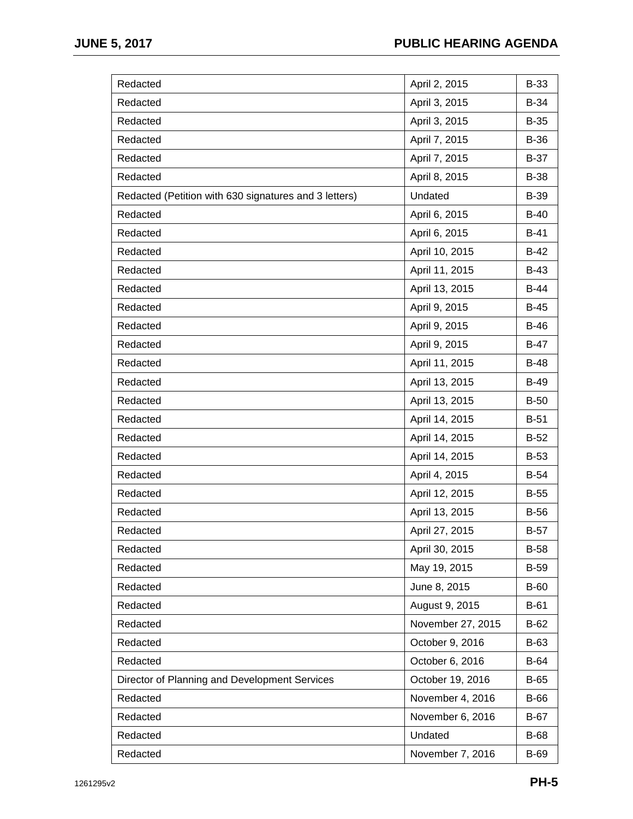| Redacted                                              | April 2, 2015     | <b>B-33</b> |
|-------------------------------------------------------|-------------------|-------------|
| Redacted                                              | April 3, 2015     | B-34        |
| Redacted                                              | April 3, 2015     | $B-35$      |
| Redacted                                              | April 7, 2015     | B-36        |
| Redacted                                              | April 7, 2015     | <b>B-37</b> |
| Redacted                                              | April 8, 2015     | <b>B-38</b> |
| Redacted (Petition with 630 signatures and 3 letters) | Undated           | B-39        |
| Redacted                                              | April 6, 2015     | $B-40$      |
| Redacted                                              | April 6, 2015     | $B-41$      |
| Redacted                                              | April 10, 2015    | $B-42$      |
| Redacted                                              | April 11, 2015    | $B-43$      |
| Redacted                                              | April 13, 2015    | $B-44$      |
| Redacted                                              | April 9, 2015     | $B-45$      |
| Redacted                                              | April 9, 2015     | $B-46$      |
| Redacted                                              | April 9, 2015     | $B-47$      |
| Redacted                                              | April 11, 2015    | <b>B-48</b> |
| Redacted                                              | April 13, 2015    | <b>B-49</b> |
| Redacted                                              | April 13, 2015    | <b>B-50</b> |
| Redacted                                              | April 14, 2015    | $B-51$      |
| Redacted                                              | April 14, 2015    | $B-52$      |
| Redacted                                              | April 14, 2015    | $B-53$      |
| Redacted                                              | April 4, 2015     | $B-54$      |
| Redacted                                              | April 12, 2015    | $B-55$      |
| Redacted                                              | April 13, 2015    | <b>B-56</b> |
| Redacted                                              | April 27, 2015    | $B-57$      |
| Redacted                                              | April 30, 2015    | <b>B-58</b> |
| Redacted                                              | May 19, 2015      | <b>B-59</b> |
| Redacted                                              | June 8, 2015      | <b>B-60</b> |
| Redacted                                              | August 9, 2015    | $B-61$      |
| Redacted                                              | November 27, 2015 | $B-62$      |
| Redacted                                              | October 9, 2016   | B-63        |
| Redacted                                              | October 6, 2016   | <b>B-64</b> |
| Director of Planning and Development Services         | October 19, 2016  | <b>B-65</b> |
| Redacted                                              | November 4, 2016  | B-66        |
| Redacted                                              | November 6, 2016  | <b>B-67</b> |
| Redacted                                              | Undated           | <b>B-68</b> |
| Redacted                                              | November 7, 2016  | B-69        |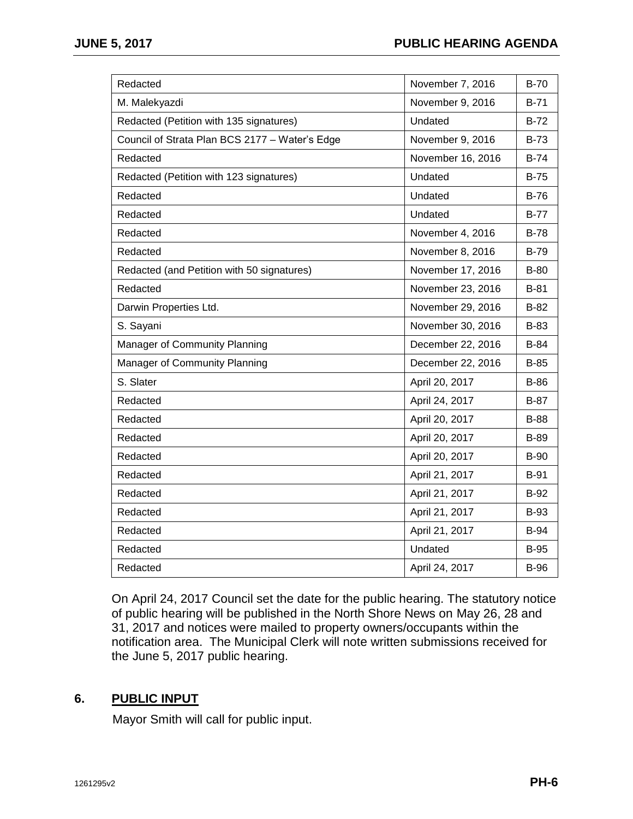| Redacted                                       | November 7, 2016  | $B-70$      |
|------------------------------------------------|-------------------|-------------|
| M. Malekyazdi                                  | November 9, 2016  | $B-71$      |
| Redacted (Petition with 135 signatures)        | Undated           | $B-72$      |
| Council of Strata Plan BCS 2177 - Water's Edge | November 9, 2016  | <b>B-73</b> |
| Redacted                                       | November 16, 2016 | $B-74$      |
| Redacted (Petition with 123 signatures)        | Undated           | $B-75$      |
| Redacted                                       | Undated           | $B-76$      |
| Redacted                                       | Undated           | $B-77$      |
| Redacted                                       | November 4, 2016  | <b>B-78</b> |
| Redacted                                       | November 8, 2016  | <b>B-79</b> |
| Redacted (and Petition with 50 signatures)     | November 17, 2016 | B-80        |
| Redacted                                       | November 23, 2016 | $B-81$      |
| Darwin Properties Ltd.                         | November 29, 2016 | $B-82$      |
| S. Sayani                                      | November 30, 2016 | B-83        |
| Manager of Community Planning                  | December 22, 2016 | B-84        |
| Manager of Community Planning                  | December 22, 2016 | $B-85$      |
| S. Slater                                      | April 20, 2017    | B-86        |
| Redacted                                       | April 24, 2017    | $B-87$      |
| Redacted                                       | April 20, 2017    | <b>B-88</b> |
| Redacted                                       | April 20, 2017    | <b>B-89</b> |
| Redacted                                       | April 20, 2017    | <b>B-90</b> |
| Redacted                                       | April 21, 2017    | <b>B-91</b> |
| Redacted                                       | April 21, 2017    | B-92        |
| Redacted                                       | April 21, 2017    | <b>B-93</b> |
| Redacted                                       | April 21, 2017    | <b>B-94</b> |
| Redacted                                       | Undated           | <b>B-95</b> |
| Redacted                                       | April 24, 2017    | <b>B-96</b> |

On April 24, 2017 Council set the date for the public hearing. The statutory notice of public hearing will be published in the North Shore News on May 26, 28 and 31, 2017 and notices were mailed to property owners/occupants within the notification area. The Municipal Clerk will note written submissions received for the June 5, 2017 public hearing.

## **6. PUBLIC INPUT**

Mayor Smith will call for public input.